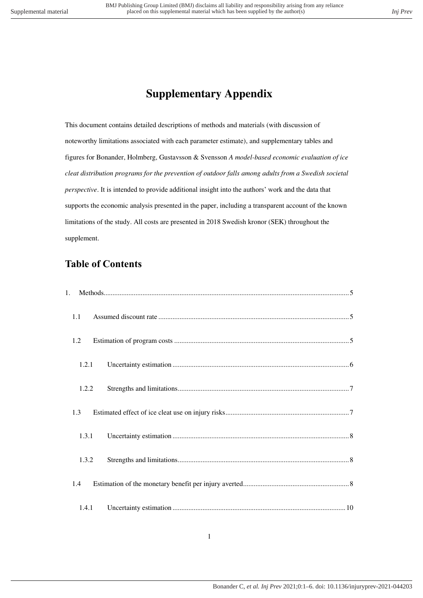# **Supplementary Appendix**

This document contains detailed descriptions of methods and materials (with discussion of noteworthy limitations associated with each parameter estimate), and supplementary tables and figures for Bonander, Holmberg, Gustavsson & Svensson *A model-based economic evaluation of ice cleat distribution programs for the prevention of outdoor falls among adults from a Swedish societal perspective*. It is intended to provide additional insight into the authors' work and the data that supports the economic analysis presented in the paper, including a transparent account of the known limitations of the study. All costs are presented in 2018 Swedish kronor (SEK) throughout the supplement.

# **Table of Contents**

| 1.1   |  |
|-------|--|
| 1.2   |  |
| 1.2.1 |  |
| 1.2.2 |  |
| 1.3   |  |
| 1.3.1 |  |
| 1.3.2 |  |
| 1.4   |  |
| 1.4.1 |  |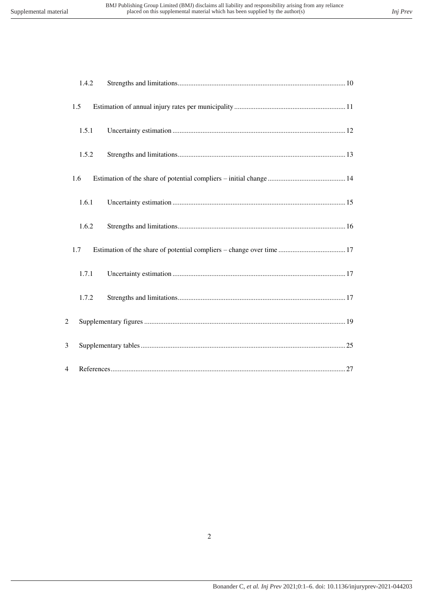|                | 1.4.2 |  |
|----------------|-------|--|
|                | 1.5   |  |
|                | 1.5.1 |  |
|                | 1.5.2 |  |
|                | 1.6   |  |
|                | 1.6.1 |  |
|                | 1.6.2 |  |
|                | 1.7   |  |
|                | 1.7.1 |  |
|                | 1.7.2 |  |
| $\overline{2}$ |       |  |
| 3              |       |  |
| 4              |       |  |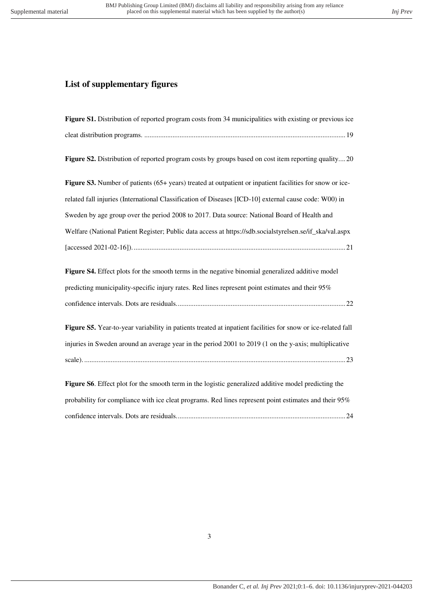# **List of supplementary figures**

| Figure S1. Distribution of reported program costs from 34 municipalities with existing or previous ice                                                                                                                |
|-----------------------------------------------------------------------------------------------------------------------------------------------------------------------------------------------------------------------|
|                                                                                                                                                                                                                       |
| Figure S2. Distribution of reported program costs by groups based on cost item reporting quality20                                                                                                                    |
| Figure S3. Number of patients (65+ years) treated at outpatient or inpatient facilities for snow or ice-                                                                                                              |
| related fall injuries (International Classification of Diseases [ICD-10] external cause code: W00) in                                                                                                                 |
| Sweden by age group over the period 2008 to 2017. Data source: National Board of Health and                                                                                                                           |
| Welfare (National Patient Register; Public data access at https://sdb.socialstyrelsen.se/if_ska/val.aspx                                                                                                              |
|                                                                                                                                                                                                                       |
| Figure S4. Effect plots for the smooth terms in the negative binomial generalized additive model<br>predicting municipality-specific injury rates. Red lines represent point estimates and their 95%                  |
|                                                                                                                                                                                                                       |
| Figure S5. Year-to-year variability in patients treated at inpatient facilities for snow or ice-related fall<br>injuries in Sweden around an average year in the period 2001 to 2019 (1 on the y-axis; multiplicative |
| Figure S6. Effect plot for the smooth term in the logistic generalized additive model predicting the                                                                                                                  |
| probability for compliance with ice cleat programs. Red lines represent point estimates and their 95%                                                                                                                 |
|                                                                                                                                                                                                                       |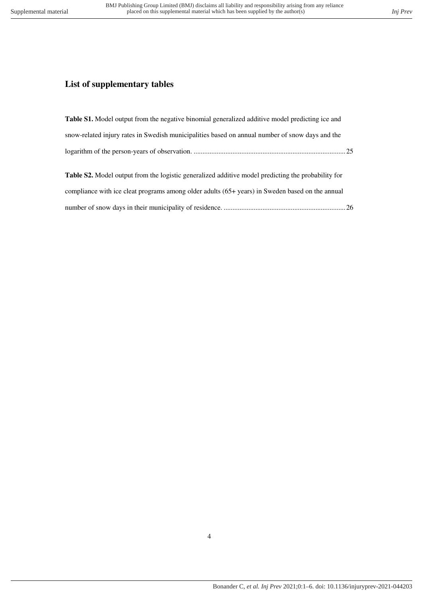# **List of supplementary tables**

| <b>Table S1.</b> Model output from the negative binomial generalized additive model predicting ice and    |  |
|-----------------------------------------------------------------------------------------------------------|--|
| snow-related injury rates in Swedish municipalities based on annual number of snow days and the           |  |
|                                                                                                           |  |
|                                                                                                           |  |
| <b>Table S2.</b> Model output from the logistic generalized additive model predicting the probability for |  |
| compliance with ice cleat programs among older adults $(65+)$ years) in Sweden based on the annual        |  |
|                                                                                                           |  |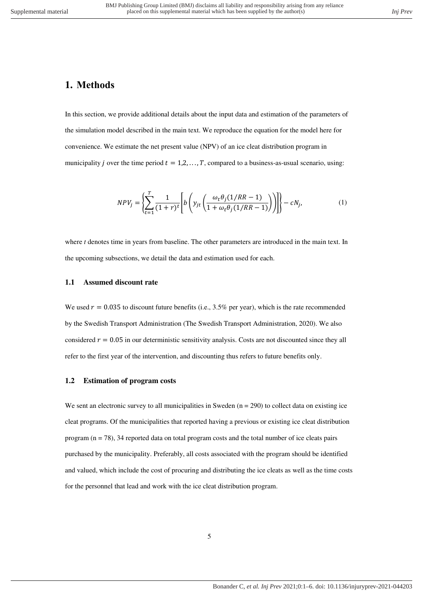# <span id="page-4-0"></span>**1. Methods**

In this section, we provide additional details about the input data and estimation of the parameters of the simulation model described in the main text. We reproduce the equation for the model here for convenience. We estimate the net present value (NPV) of an ice cleat distribution program in municipality *j* over the time period  $t = 1, 2, ..., T$ , compared to a business-as-usual scenario, using:

$$
NPV_j = \left\{ \sum_{t=1}^T \frac{1}{(1+r)^t} \left[ b \left( y_{jt} \left( \frac{\omega_t \theta_j (1/RR - 1)}{1 + \omega_t \theta_j (1/RR - 1)} \right) \right) \right] \right\} - cN_j,
$$
\n(1)

where *t* denotes time in years from baseline. The other parameters are introduced in the main text. In the upcoming subsections, we detail the data and estimation used for each.

#### <span id="page-4-1"></span>**1.1 Assumed discount rate**

We used  $r = 0.035$  to discount future benefits (i.e., 3.5% per year), which is the rate recommended by the Swedish Transport Administration (The Swedish Transport Administration, 2020). We also considered  $r = 0.05$  in our deterministic sensitivity analysis. Costs are not discounted since they all refer to the first year of the intervention, and discounting thus refers to future benefits only.

#### <span id="page-4-2"></span>**1.2 Estimation of program costs**

We sent an electronic survey to all municipalities in Sweden  $(n = 290)$  to collect data on existing ice cleat programs. Of the municipalities that reported having a previous or existing ice cleat distribution program  $(n = 78)$ , 34 reported data on total program costs and the total number of ice cleats pairs purchased by the municipality. Preferably, all costs associated with the program should be identified and valued, which include the cost of procuring and distributing the ice cleats as well as the time costs for the personnel that lead and work with the ice cleat distribution program.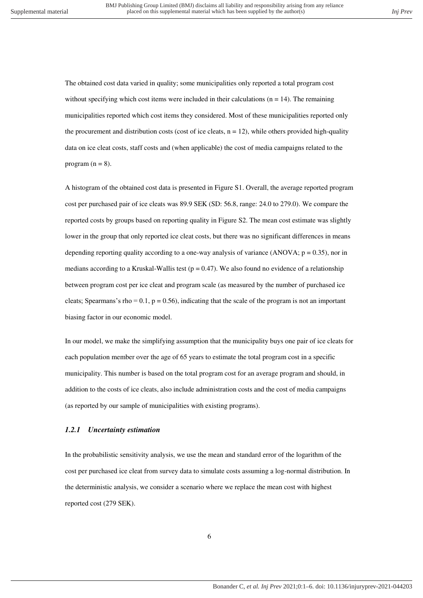The obtained cost data varied in quality; some municipalities only reported a total program cost without specifying which cost items were included in their calculations ( $n = 14$ ). The remaining municipalities reported which cost items they considered. Most of these municipalities reported only the procurement and distribution costs (cost of ice cleats,  $n = 12$ ), while others provided high-quality data on ice cleat costs, staff costs and (when applicable) the cost of media campaigns related to the program  $(n = 8)$ .

A histogram of the obtained cost data is presented in Figure S1. Overall, the average reported program cost per purchased pair of ice cleats was 89.9 SEK (SD: 56.8, range: 24.0 to 279.0). We compare the reported costs by groups based on reporting quality in Figure S2. The mean cost estimate was slightly lower in the group that only reported ice cleat costs, but there was no significant differences in means depending reporting quality according to a one-way analysis of variance (ANOVA;  $p = 0.35$ ), nor in medians according to a Kruskal-Wallis test ( $p = 0.47$ ). We also found no evidence of a relationship between program cost per ice cleat and program scale (as measured by the number of purchased ice cleats; Spearmans's rho =  $0.1$ , p =  $0.56$ ), indicating that the scale of the program is not an important biasing factor in our economic model.

In our model, we make the simplifying assumption that the municipality buys one pair of ice cleats for each population member over the age of 65 years to estimate the total program cost in a specific municipality. This number is based on the total program cost for an average program and should, in addition to the costs of ice cleats, also include administration costs and the cost of media campaigns (as reported by our sample of municipalities with existing programs).

#### <span id="page-5-0"></span>*1.2.1 Uncertainty estimation*

In the probabilistic sensitivity analysis, we use the mean and standard error of the logarithm of the cost per purchased ice cleat from survey data to simulate costs assuming a log-normal distribution. In the deterministic analysis, we consider a scenario where we replace the mean cost with highest reported cost (279 SEK).

6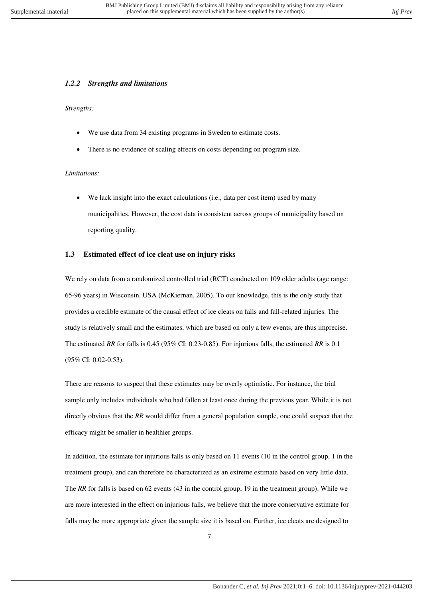# <span id="page-6-0"></span>*1.2.2 Strengths and limitations*

## *Strengths:*

- We use data from 34 existing programs in Sweden to estimate costs.
- There is no evidence of scaling effects on costs depending on program size.

# *Limitations:*

We lack insight into the exact calculations (i.e., data per cost item) used by many municipalities. However, the cost data is consistent across groups of municipality based on reporting quality.

#### <span id="page-6-1"></span>**1.3 Estimated effect of ice cleat use on injury risks**

We rely on data from a randomized controlled trial (RCT) conducted on 109 older adults (age range: 65-96 years) in Wisconsin, USA (McKiernan, 2005). To our knowledge, this is the only study that provides a credible estimate of the causal effect of ice cleats on falls and fall-related injuries. The study is relatively small and the estimates, which are based on only a few events, are thus imprecise. The estimated *RR* for falls is 0.45 (95% CI: 0.23-0.85). For injurious falls, the estimated *RR* is 0.1 (95% CI: 0.02-0.53).

There are reasons to suspect that these estimates may be overly optimistic. For instance, the trial sample only includes individuals who had fallen at least once during the previous year. While it is not directly obvious that the *RR* would differ from a general population sample, one could suspect that the efficacy might be smaller in healthier groups.

In addition, the estimate for injurious falls is only based on 11 events (10 in the control group, 1 in the treatment group), and can therefore be characterized as an extreme estimate based on very little data. The *RR* for falls is based on 62 events (43 in the control group, 19 in the treatment group). While we are more interested in the effect on injurious falls, we believe that the more conservative estimate for falls may be more appropriate given the sample size it is based on. Further, ice cleats are designed to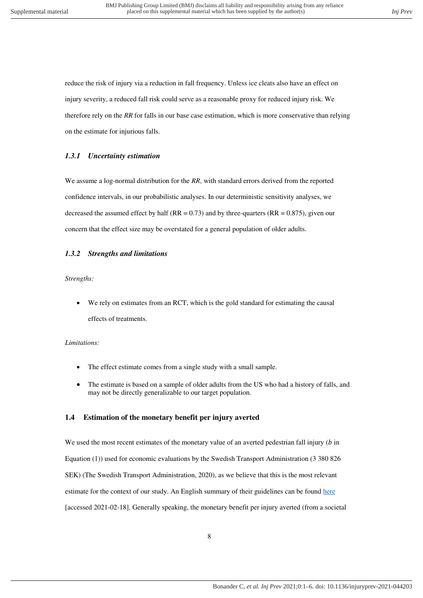reduce the risk of injury via a reduction in fall frequency. Unless ice cleats also have an effect on injury severity, a reduced fall risk could serve as a reasonable proxy for reduced injury risk. We therefore rely on the *RR* for falls in our base case estimation, which is more conservative than relying on the estimate for injurious falls.

#### <span id="page-7-0"></span>*1.3.1 Uncertainty estimation*

We assume a log-normal distribution for the *RR*, with standard errors derived from the reported confidence intervals, in our probabilistic analyses. In our deterministic sensitivity analyses, we decreased the assumed effect by half ( $RR = 0.73$ ) and by three-quarters ( $RR = 0.875$ ), given our concern that the effect size may be overstated for a general population of older adults.

#### <span id="page-7-1"></span>*1.3.2 Strengths and limitations*

*Strengths:* 

 We rely on estimates from an RCT, which is the gold standard for estimating the causal effects of treatments.

#### *Limitations:*

- The effect estimate comes from a single study with a small sample.
- The estimate is based on a sample of older adults from the US who had a history of falls, and may not be directly generalizable to our target population.

#### <span id="page-7-2"></span>**1.4 Estimation of the monetary benefit per injury averted**

We used the most recent estimates of the monetary value of an averted pedestrian fall injury  $(b \text{ in}$ Equation (1)) used for economic evaluations by the Swedish Transport Administration (3 380 826 SEK) (The Swedish Transport Administration, 2020), as we believe that this is the most relevant estimate for the context of our study. An English summary of their guidelines can be found [here](https://www.trafikverket.se/contentassets/4b1c1005597d47bda386d81dd3444b24/asek-7.0--2020/19_english_summary_a7-200814.pdf) [accessed 2021-02-18]. Generally speaking, the monetary benefit per injury averted (from a societal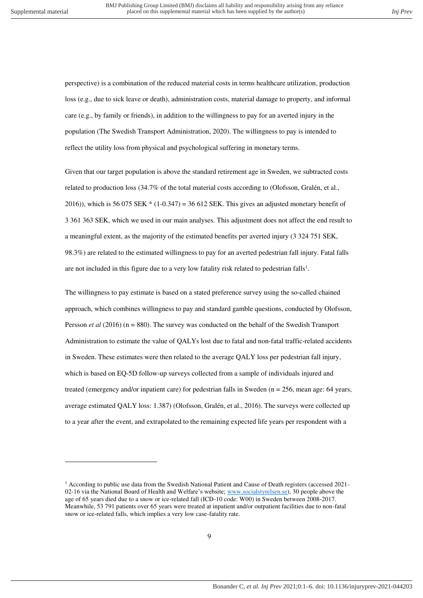$\overline{a}$ 

perspective) is a combination of the reduced material costs in terms healthcare utilization, production loss (e.g., due to sick leave or death), administration costs, material damage to property, and informal care (e.g., by family or friends), in addition to the willingness to pay for an averted injury in the population (The Swedish Transport Administration, 2020). The willingness to pay is intended to reflect the utility loss from physical and psychological suffering in monetary terms.

Given that our target population is above the standard retirement age in Sweden, we subtracted costs related to production loss (34.7% of the total material costs according to (Olofsson, Gralén, et al., 2016)), which is 56 075 SEK  $*(1-0.347) = 36\,612$  SEK. This gives an adjusted monetary benefit of 3 361 363 SEK, which we used in our main analyses. This adjustment does not affect the end result to a meaningful extent, as the majority of the estimated benefits per averted injury (3 324 751 SEK, 98.3%) are related to the estimated willingness to pay for an averted pedestrian fall injury. Fatal falls are not included in this figure due to a very low fatality risk related to pedestrian falls<sup>1</sup>.

The willingness to pay estimate is based on a stated preference survey using the so-called chained approach, which combines willingness to pay and standard gamble questions, conducted by Olofsson, Persson *et al* (2016) (n = 880). The survey was conducted on the behalf of the Swedish Transport Administration to estimate the value of QALYs lost due to fatal and non-fatal traffic-related accidents in Sweden. These estimates were then related to the average QALY loss per pedestrian fall injury, which is based on EQ-5D follow-up surveys collected from a sample of individuals injured and treated (emergency and/or inpatient care) for pedestrian falls in Sweden (n = 256, mean age: 64 years, average estimated QALY loss: 1.387) (Olofsson, Gralén, et al., 2016). The surveys were collected up to a year after the event, and extrapolated to the remaining expected life years per respondent with a

<sup>&</sup>lt;sup>1</sup> According to public use data from the Swedish National Patient and Cause of Death registers (accessed 202102-16 via the National Board of Health and Welfare's website; [www.socialstyrelsen.se\)](http://www.socialstyrelsen.se/), 30 people above the age of 65 years died due to a snow or ice-related fall (ICD-10 code: W00) in Sweden between 2008-2017. Meanwhile, 53 791 patients over 65 years were treated at inpatient and/or outpatient facilities due to non-fatal snow or ice-related falls, which implies a very low case-fatality rate.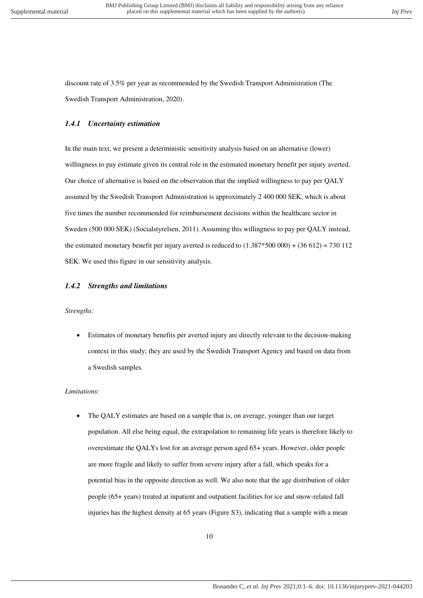<span id="page-9-0"></span>discount rate of 3.5% per year as recommended by the Swedish Transport Administration (The Swedish Transport Administration, 2020).

## *1.4.1 Uncertainty estimation*

In the main text, we present a deterministic sensitivity analysis based on an alternative (lower) willingness to pay estimate given its central role in the estimated monetary benefit per injury averted. Our choice of alternative is based on the observation that the implied willingness to pay per QALY assumed by the Swedish Transport Administration is approximately 2 400 000 SEK, which is about five times the number recommended for reimbursement decisions within the healthcare sector in Sweden (500 000 SEK) (Socialstyrelsen, 2011). Assuming this willingness to pay per QALY instead, the estimated monetary benefit per injury averted is reduced to  $(1.387*500 000) + (36 612) = 730 112$ SEK. We used this figure in our sensitivity analysis.

#### <span id="page-9-1"></span>*1.4.2 Strengths and limitations*

#### *Strengths:*

 Estimates of monetary benefits per averted injury are directly relevant to the decision-making context in this study; they are used by the Swedish Transport Agency and based on data from a Swedish samples.

#### *Limitations:*

 The QALY estimates are based on a sample that is, on average, younger than our target population. All else being equal, the extrapolation to remaining life years is therefore likely to overestimate the QALYs lost for an average person aged 65+ years. However, older people are more fragile and likely to suffer from severe injury after a fall, which speaks for a potential bias in the opposite direction as well. We also note that the age distribution of older people (65+ years) treated at inpatient and outpatient facilities for ice and snow-related fall injuries has the highest density at 65 years (Figure S3), indicating that a sample with a mean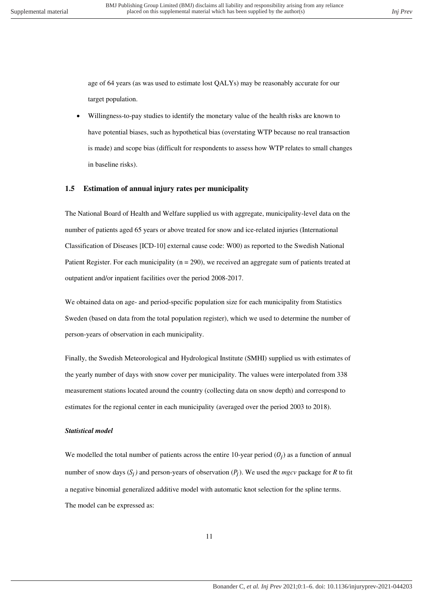age of 64 years (as was used to estimate lost QALYs) may be reasonably accurate for our target population.

 Willingness-to-pay studies to identify the monetary value of the health risks are known to have potential biases, such as hypothetical bias (overstating WTP because no real transaction is made) and scope bias (difficult for respondents to assess how WTP relates to small changes in baseline risks).

#### <span id="page-10-0"></span>**1.5 Estimation of annual injury rates per municipality**

The National Board of Health and Welfare supplied us with aggregate, municipality-level data on the number of patients aged 65 years or above treated for snow and ice-related injuries (International Classification of Diseases [ICD-10] external cause code: W00) as reported to the Swedish National Patient Register. For each municipality ( $n = 290$ ), we received an aggregate sum of patients treated at outpatient and/or inpatient facilities over the period 2008-2017.

We obtained data on age- and period-specific population size for each municipality from Statistics Sweden (based on data from the total population register), which we used to determine the number of person-years of observation in each municipality.

Finally, the Swedish Meteorological and Hydrological Institute (SMHI) supplied us with estimates of the yearly number of days with snow cover per municipality. The values were interpolated from 338 measurement stations located around the country (collecting data on snow depth) and correspond to estimates for the regional center in each municipality (averaged over the period 2003 to 2018).

#### *Statistical model*

We modelled the total number of patients across the entire 10-year period  $(O_j)$  as a function of annual number of snow days  $(S_j)$  and person-years of observation  $(P_j)$ . We used the *mgcv* package for *R* to fit a negative binomial generalized additive model with automatic knot selection for the spline terms. The model can be expressed as: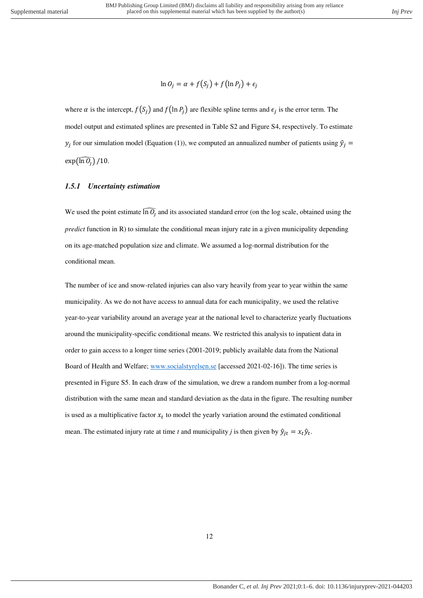$$
\ln O_j = \alpha + f(S_j) + f(\ln P_j) + \epsilon_j
$$

where  $\alpha$  is the intercept,  $f(S_j)$  and  $f(\ln P_j)$  are flexible spline terms and  $\epsilon_j$  is the error term. The model output and estimated splines are presented in Table S2 and Figure S4, respectively. To estimate  $y_j$  for our simulation model (Equation (1)), we computed an annualized number of patients using  $\hat{y}_j =$  $\exp(\widehat{\ln 0_i})/10$ .

## <span id="page-11-0"></span>*1.5.1 Uncertainty estimation*

We used the point estimate  $\ln \overline{O}_j$  and its associated standard error (on the log scale, obtained using the *predict* function in R) to simulate the conditional mean injury rate in a given municipality depending on its age-matched population size and climate. We assumed a log-normal distribution for the conditional mean.

The number of ice and snow-related injuries can also vary heavily from year to year within the same municipality. As we do not have access to annual data for each municipality, we used the relative year-to-year variability around an average year at the national level to characterize yearly fluctuations around the municipality-specific conditional means. We restricted this analysis to inpatient data in order to gain access to a longer time series (2001-2019; publicly available data from the National Board of Health and Welfare; [www.socialstyrelsen.se](http://www.socialstyrelsen.se/) [accessed 2021-02-16]). The time series is presented in Figure S5. In each draw of the simulation, we drew a random number from a log-normal distribution with the same mean and standard deviation as the data in the figure. The resulting number is used as a multiplicative factor  $x_t$  to model the yearly variation around the estimated conditional mean. The estimated injury rate at time *t* and municipality *j* is then given by  $\hat{y}_{jt} = x_t \hat{y}_t$ .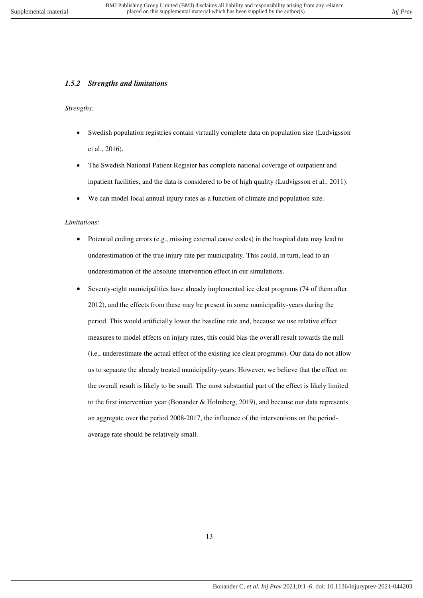## <span id="page-12-0"></span>*1.5.2 Strengths and limitations*

#### *Strengths:*

- Swedish population registries contain virtually complete data on population size (Ludvigsson et al., 2016).
- The Swedish National Patient Register has complete national coverage of outpatient and inpatient facilities, and the data is considered to be of high quality (Ludvigsson et al., 2011).
- We can model local annual injury rates as a function of climate and population size.

#### *Limitations:*

- Potential coding errors (e.g., missing external cause codes) in the hospital data may lead to underestimation of the true injury rate per municipality. This could, in turn, lead to an underestimation of the absolute intervention effect in our simulations.
- Seventy-eight municipalities have already implemented ice cleat programs (74 of them after 2012), and the effects from these may be present in some municipality-years during the period. This would artificially lower the baseline rate and, because we use relative effect measures to model effects on injury rates, this could bias the overall result towards the null (i.e., underestimate the actual effect of the existing ice cleat programs). Our data do not allow us to separate the already treated municipality-years. However, we believe that the effect on the overall result is likely to be small. The most substantial part of the effect is likely limited to the first intervention year (Bonander & Holmberg, 2019), and because our data represents an aggregate over the period 2008-2017, the influence of the interventions on the periodaverage rate should be relatively small.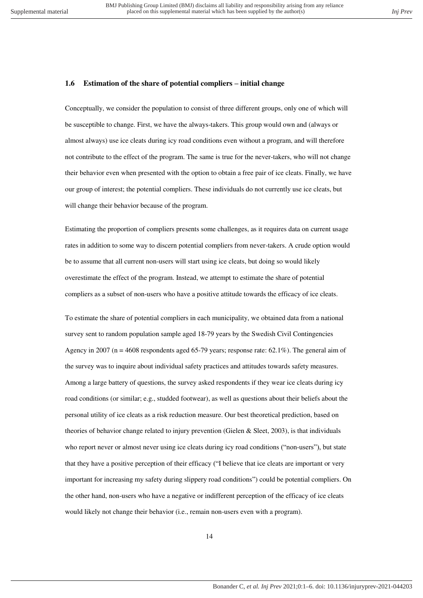#### <span id="page-13-0"></span>**1.6 Estimation of the share of potential compliers – initial change**

Conceptually, we consider the population to consist of three different groups, only one of which will be susceptible to change. First, we have the always-takers. This group would own and (always or almost always) use ice cleats during icy road conditions even without a program, and will therefore not contribute to the effect of the program. The same is true for the never-takers, who will not change their behavior even when presented with the option to obtain a free pair of ice cleats. Finally, we have our group of interest; the potential compliers. These individuals do not currently use ice cleats, but will change their behavior because of the program.

Estimating the proportion of compliers presents some challenges, as it requires data on current usage rates in addition to some way to discern potential compliers from never-takers. A crude option would be to assume that all current non-users will start using ice cleats, but doing so would likely overestimate the effect of the program. Instead, we attempt to estimate the share of potential compliers as a subset of non-users who have a positive attitude towards the efficacy of ice cleats.

To estimate the share of potential compliers in each municipality, we obtained data from a national survey sent to random population sample aged 18-79 years by the Swedish Civil Contingencies Agency in 2007 (n = 4608 respondents aged 65-79 years; response rate:  $62.1\%$ ). The general aim of the survey was to inquire about individual safety practices and attitudes towards safety measures. Among a large battery of questions, the survey asked respondents if they wear ice cleats during icy road conditions (or similar; e.g., studded footwear), as well as questions about their beliefs about the personal utility of ice cleats as a risk reduction measure. Our best theoretical prediction, based on theories of behavior change related to injury prevention (Gielen & Sleet, 2003), is that individuals who report never or almost never using ice cleats during icy road conditions ("non-users"), but state that they have a positive perception of their efficacy ("I believe that ice cleats are important or very important for increasing my safety during slippery road conditions") could be potential compliers. On the other hand, non-users who have a negative or indifferent perception of the efficacy of ice cleats would likely not change their behavior (i.e., remain non-users even with a program).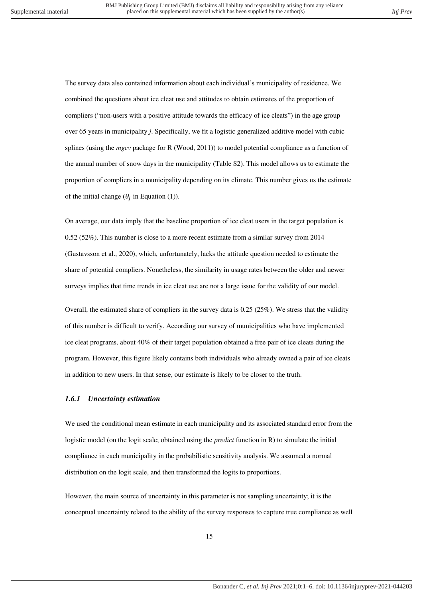The survey data also contained information about each individual's municipality of residence. We combined the questions about ice cleat use and attitudes to obtain estimates of the proportion of compliers ("non-users with a positive attitude towards the efficacy of ice cleats") in the age group over 65 years in municipality *j*. Specifically, we fit a logistic generalized additive model with cubic splines (using the *mgcv* package for R (Wood, 2011)) to model potential compliance as a function of the annual number of snow days in the municipality (Table S2). This model allows us to estimate the proportion of compliers in a municipality depending on its climate. This number gives us the estimate of the initial change ( $\theta_j$  in Equation (1)).

On average, our data imply that the baseline proportion of ice cleat users in the target population is 0.52 (52%). This number is close to a more recent estimate from a similar survey from 2014 (Gustavsson et al., 2020), which, unfortunately, lacks the attitude question needed to estimate the share of potential compliers. Nonetheless, the similarity in usage rates between the older and newer surveys implies that time trends in ice cleat use are not a large issue for the validity of our model.

Overall, the estimated share of compliers in the survey data is 0.25 (25%). We stress that the validity of this number is difficult to verify. According our survey of municipalities who have implemented ice cleat programs, about 40% of their target population obtained a free pair of ice cleats during the program. However, this figure likely contains both individuals who already owned a pair of ice cleats in addition to new users. In that sense, our estimate is likely to be closer to the truth.

## <span id="page-14-0"></span>*1.6.1 Uncertainty estimation*

We used the conditional mean estimate in each municipality and its associated standard error from the logistic model (on the logit scale; obtained using the *predict* function in R) to simulate the initial compliance in each municipality in the probabilistic sensitivity analysis. We assumed a normal distribution on the logit scale, and then transformed the logits to proportions.

However, the main source of uncertainty in this parameter is not sampling uncertainty; it is the conceptual uncertainty related to the ability of the survey responses to capture true compliance as well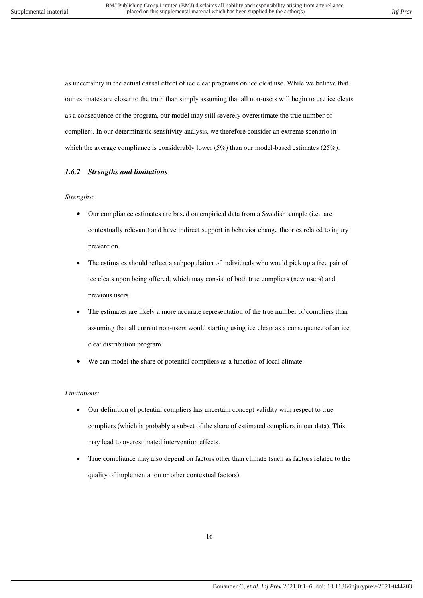as uncertainty in the actual causal effect of ice cleat programs on ice cleat use. While we believe that our estimates are closer to the truth than simply assuming that all non-users will begin to use ice cleats as a consequence of the program, our model may still severely overestimate the true number of compliers. In our deterministic sensitivity analysis, we therefore consider an extreme scenario in which the average compliance is considerably lower (5%) than our model-based estimates (25%).

## <span id="page-15-0"></span>*1.6.2 Strengths and limitations*

#### *Strengths:*

- Our compliance estimates are based on empirical data from a Swedish sample (i.e., are contextually relevant) and have indirect support in behavior change theories related to injury prevention.
- The estimates should reflect a subpopulation of individuals who would pick up a free pair of ice cleats upon being offered, which may consist of both true compliers (new users) and previous users.
- The estimates are likely a more accurate representation of the true number of compliers than assuming that all current non-users would starting using ice cleats as a consequence of an ice cleat distribution program.
- We can model the share of potential compliers as a function of local climate.

#### *Limitations:*

- Our definition of potential compliers has uncertain concept validity with respect to true compliers (which is probably a subset of the share of estimated compliers in our data). This may lead to overestimated intervention effects.
- True compliance may also depend on factors other than climate (such as factors related to the quality of implementation or other contextual factors).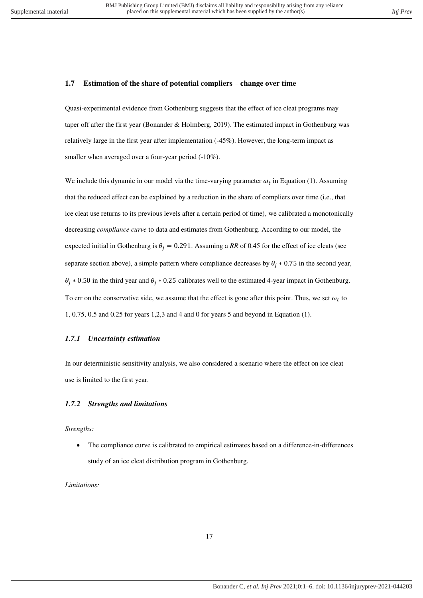#### <span id="page-16-0"></span>**1.7 Estimation of the share of potential compliers – change over time**

Quasi-experimental evidence from Gothenburg suggests that the effect of ice cleat programs may taper off after the first year (Bonander & Holmberg, 2019). The estimated impact in Gothenburg was relatively large in the first year after implementation (-45%). However, the long-term impact as smaller when averaged over a four-year period  $(-10\%)$ .

We include this dynamic in our model via the time-varying parameter  $\omega_t$  in Equation (1). Assuming that the reduced effect can be explained by a reduction in the share of compliers over time (i.e., that ice cleat use returns to its previous levels after a certain period of time), we calibrated a monotonically decreasing *compliance curve* to data and estimates from Gothenburg. According to our model, the expected initial in Gothenburg is  $\theta_i = 0.291$ . Assuming a *RR* of 0.45 for the effect of ice cleats (see separate section above), a simple pattern where compliance decreases by  $\theta_i * 0.75$  in the second year,  $\theta_i * 0.50$  in the third year and  $\theta_i * 0.25$  calibrates well to the estimated 4-year impact in Gothenburg. To err on the conservative side, we assume that the effect is gone after this point. Thus, we set  $\omega_t$  to 1, 0.75, 0.5 and 0.25 for years 1,2,3 and 4 and 0 for years 5 and beyond in Equation (1).

#### <span id="page-16-1"></span>*1.7.1 Uncertainty estimation*

In our deterministic sensitivity analysis, we also considered a scenario where the effect on ice cleat use is limited to the first year.

## <span id="page-16-2"></span>*1.7.2 Strengths and limitations*

*Strengths:* 

 The compliance curve is calibrated to empirical estimates based on a difference-in-differences study of an ice cleat distribution program in Gothenburg.

*Limitations:*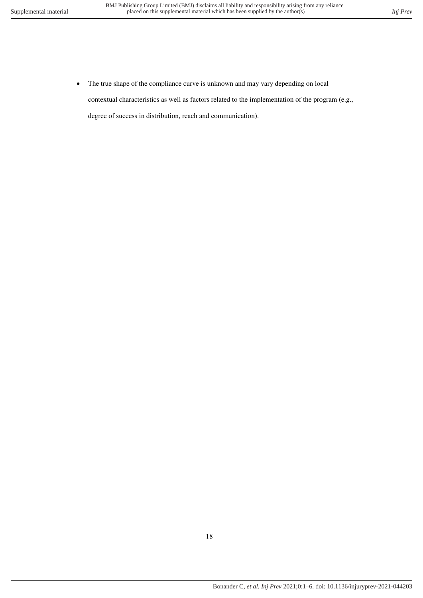• The true shape of the compliance curve is unknown and may vary depending on local contextual characteristics as well as factors related to the implementation of the program (e.g., degree of success in distribution, reach and communication).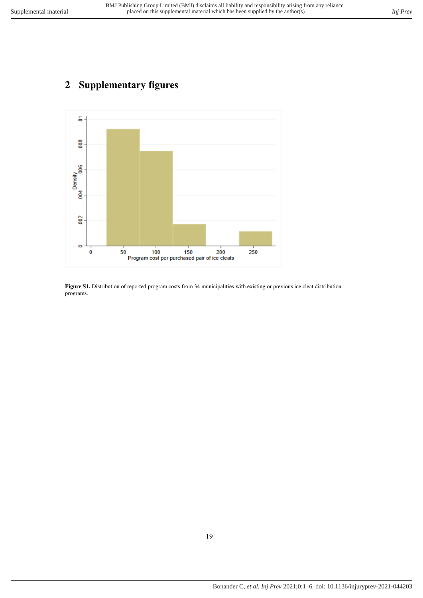# <span id="page-18-0"></span>**2 Supplementary figures**



<span id="page-18-1"></span>Figure S1. Distribution of reported program costs from 34 municipalities with existing or previous ice cleat distribution programs.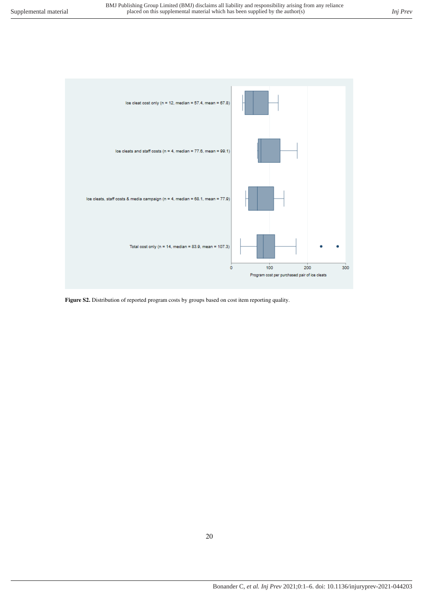

<span id="page-19-0"></span>Figure S2. Distribution of reported program costs by groups based on cost item reporting quality.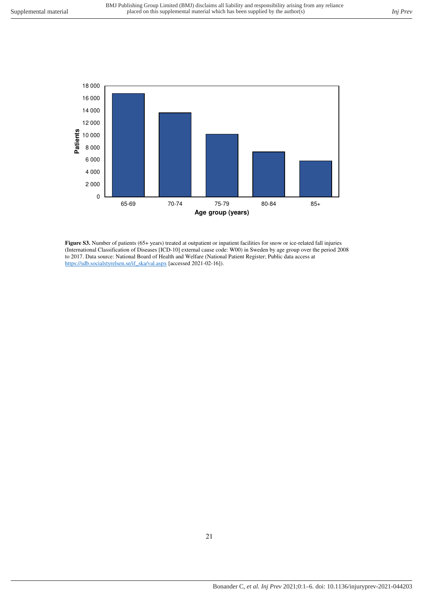

<span id="page-20-0"></span>**Figure S3.** Number of patients (65+ years) treated at outpatient or inpatient facilities for snow or ice-related fall injuries (International Classification of Diseases [ICD-10] external cause code: W00) in Sweden by age group over the period 2008 to 2017. Data source: National Board of Health and Welfare (National Patient Register; Public data access at [https://sdb.socialstyrelsen.se/if\\_ska/val.aspx \[](https://sdb.socialstyrelsen.se/if_ska/val.aspx)accessed 2021-02-16]).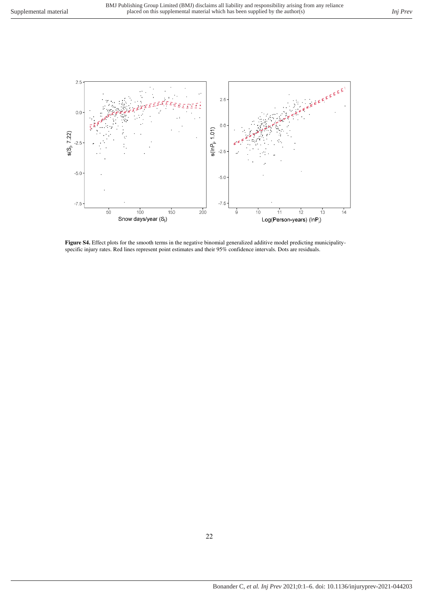

<span id="page-21-0"></span>Figure S4. Effect plots for the smooth terms in the negative binomial generalized additive model predicting municipalityspecific injury rates. Red lines represent point estimates and their 95% confidence intervals. Dots are residuals.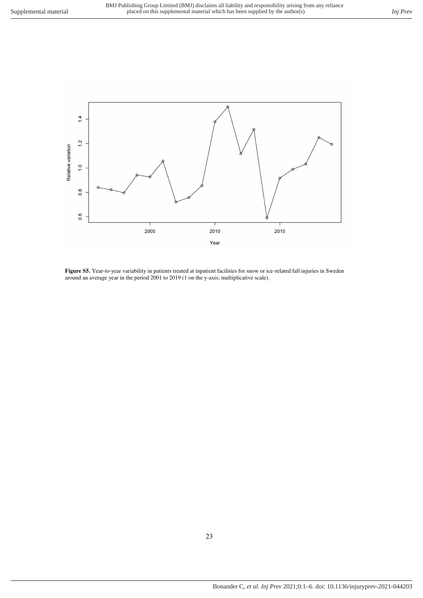

<span id="page-22-0"></span>**Figure S5.** Year-to-year variability in patients treated at inpatient facilities for snow or ice-related fall injuries in Sweden around an average year in the period 2001 to 2019 (1 on the y-axis; multiplicative scale).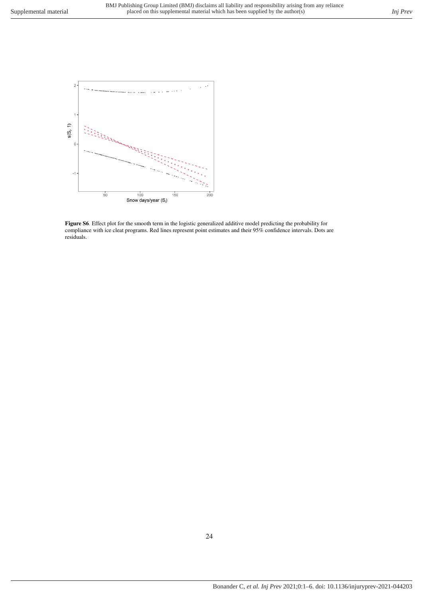

<span id="page-23-0"></span>**Figure S6***.* Effect plot for the smooth term in the logistic generalized additive model predicting the probability for compliance with ice cleat programs. Red lines represent point estimates and their 95% confidence intervals. Dots are residuals.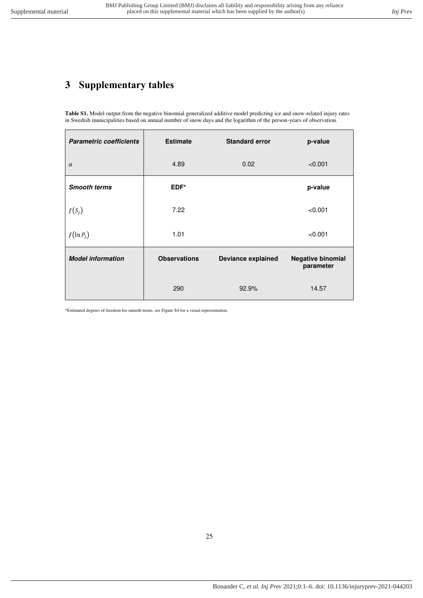# <span id="page-24-1"></span><span id="page-24-0"></span>**3 Supplementary tables**

**Table S1.** Model output from the negative binomial generalized additive model predicting ice and snow-related injury rates in Swedish municipalities based on annual number of snow days and the logarithm of the person-years of observation.

| <b>Parametric coefficients</b> | <b>Estimate</b>     | <b>Standard error</b>     | p-value                               |
|--------------------------------|---------------------|---------------------------|---------------------------------------|
| $\alpha$                       | 4.89                | 0.02                      | < 0.001                               |
| <b>Smooth terms</b>            | EDF*                |                           | p-value                               |
| $f(S_j)$                       | 7.22                |                           | < 0.001                               |
| $f(\ln P_i)$                   | 1.01                |                           | < 0.001                               |
| <b>Model information</b>       | <b>Observations</b> | <b>Deviance explained</b> | <b>Negative binomial</b><br>parameter |
|                                | 290                 | 92.9%                     | 14.57                                 |

\*Estimated degrees of freedom for smooth terms, see Figure S4 for a visual representation.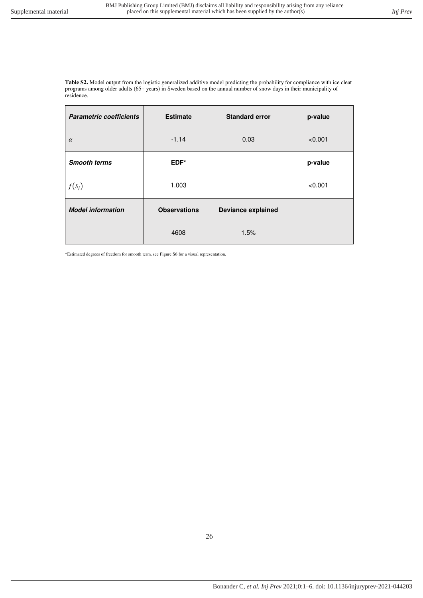<span id="page-25-0"></span>**Table S2.** Model output from the logistic generalized additive model predicting the probability for compliance with ice cleat programs among older adults (65+ years) in Sweden based on the annual number of snow days in their municipality of residence.

| <b>Parametric coefficients</b> | <b>Estimate</b>     | <b>Standard error</b>     | p-value |
|--------------------------------|---------------------|---------------------------|---------|
| $\alpha$                       | $-1.14$             | 0.03                      | < 0.001 |
| <b>Smooth terms</b>            | EDF*                |                           | p-value |
| $f(S_j)$                       | 1.003               |                           | < 0.001 |
| <b>Model information</b>       | <b>Observations</b> | <b>Deviance explained</b> |         |
|                                | 4608                | 1.5%                      |         |

\*Estimated degrees of freedom for smooth term, see Figure S6 for a visual representation.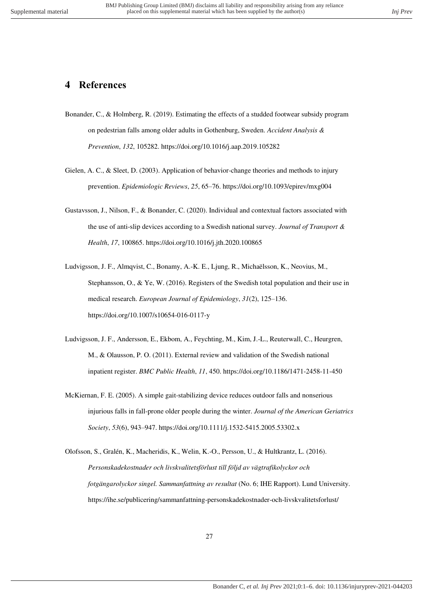# <span id="page-26-0"></span>**4 References**

- Bonander, C., & Holmberg, R. (2019). Estimating the effects of a studded footwear subsidy program on pedestrian falls among older adults in Gothenburg, Sweden. *Accident Analysis & Prevention*, *132*, 105282. https://doi.org/10.1016/j.aap.2019.105282
- Gielen, A. C., & Sleet, D. (2003). Application of behavior-change theories and methods to injury prevention. *Epidemiologic Reviews*, *25*, 65–76. https://doi.org/10.1093/epirev/mxg004
- Gustavsson, J., Nilson, F., & Bonander, C. (2020). Individual and contextual factors associated with the use of anti-slip devices according to a Swedish national survey. *Journal of Transport & Health*, *17*, 100865. https://doi.org/10.1016/j.jth.2020.100865
- Ludvigsson, J. F., Almqvist, C., Bonamy, A.-K. E., Ljung, R., Michaëlsson, K., Neovius, M., Stephansson, O., & Ye, W. (2016). Registers of the Swedish total population and their use in medical research. *European Journal of Epidemiology*, *31*(2), 125–136. https://doi.org/10.1007/s10654-016-0117-y
- Ludvigsson, J. F., Andersson, E., Ekbom, A., Feychting, M., Kim, J.-L., Reuterwall, C., Heurgren, M., & Olausson, P. O. (2011). External review and validation of the Swedish national inpatient register. *BMC Public Health*, *11*, 450. https://doi.org/10.1186/1471-2458-11-450
- McKiernan, F. E. (2005). A simple gait-stabilizing device reduces outdoor falls and nonserious injurious falls in fall-prone older people during the winter. *Journal of the American Geriatrics Society*, *53*(6), 943–947. https://doi.org/10.1111/j.1532-5415.2005.53302.x
- Olofsson, S., Gralén, K., Macheridis, K., Welin, K.-O., Persson, U., & Hultkrantz, L. (2016). *Personskadekostnader och livskvalitetsförlust till följd av vägtrafikolyckor och fotgängarolyckor singel. Sammanfattning av resultat* (No. 6; IHE Rapport). Lund University. https://ihe.se/publicering/sammanfattning-personskadekostnader-och-livskvalitetsforlust/